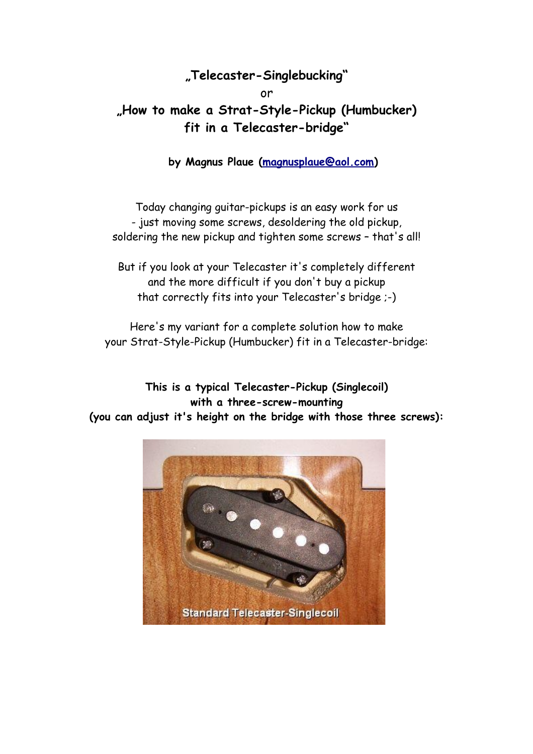## **"Telecaster-Singlebucking"**

or

**"How to make a Strat-Style-Pickup (Humbucker) fit in a Telecaster-bridge"**

**by Magnus Plaue [\(magnusplaue@aol.com\)](mailto:magnusplaue@aol.com)**

Today changing guitar-pickups is an easy work for us - just moving some screws, desoldering the old pickup, soldering the new pickup and tighten some screws – that's all!

But if you look at your Telecaster it's completely different and the more difficult if you don't buy a pickup that correctly fits into your Telecaster's bridge ;-)

Here's my variant for a complete solution how to make your Strat-Style-Pickup (Humbucker) fit in a Telecaster-bridge:

**This is a typical Telecaster-Pickup (Singlecoil) with a three-screw-mounting (you can adjust it's height on the bridge with those three screws):**

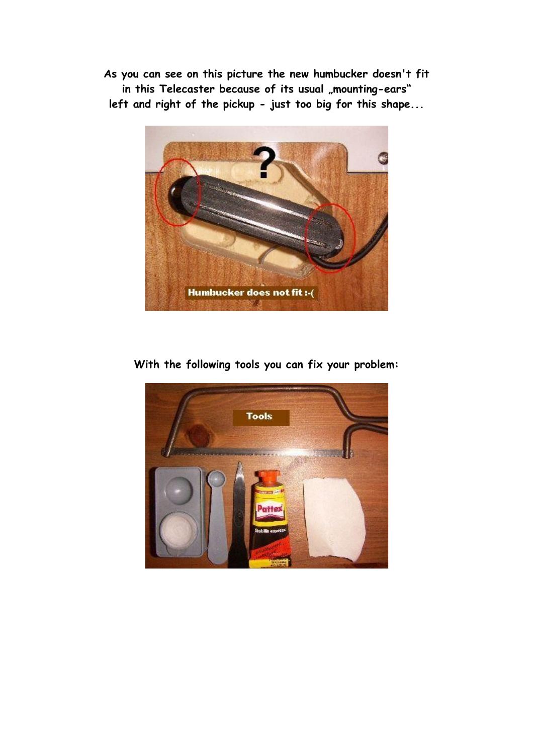**As you can see on this picture the new humbucker doesn't fit** in this Telecaster because of its usual "mounting-ears" **left and right of the pickup - just too big for this shape...**



## **With the following tools you can fix your problem:**

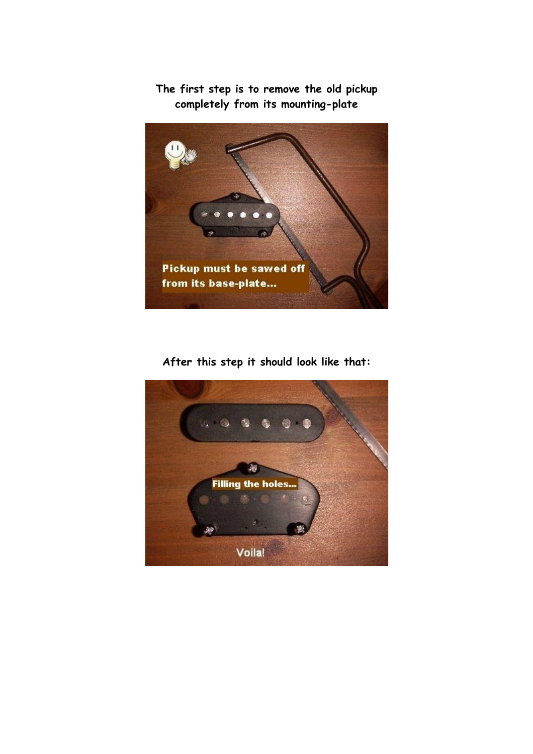

**The first step is to remove the old pickup completely from its mounting-plate**

**After this step it should look like that:**

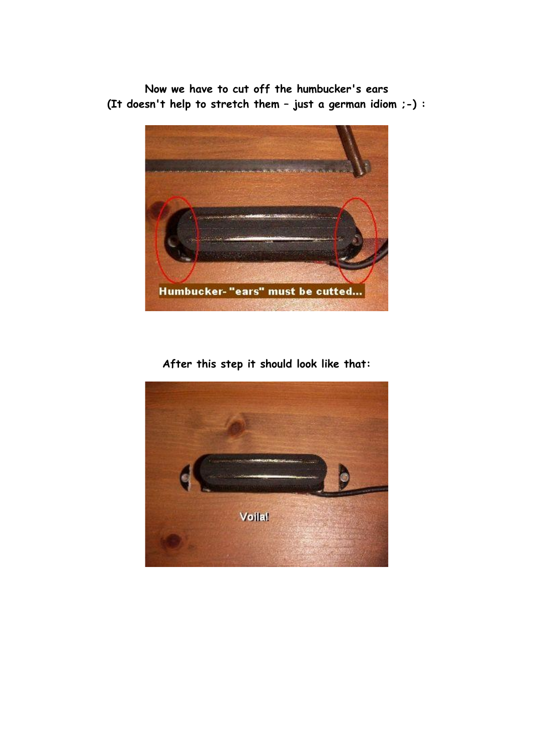**Now we have to cut off the humbucker's ears (It doesn't help to stretch them – just a german idiom ;-) :**



**After this step it should look like that:**

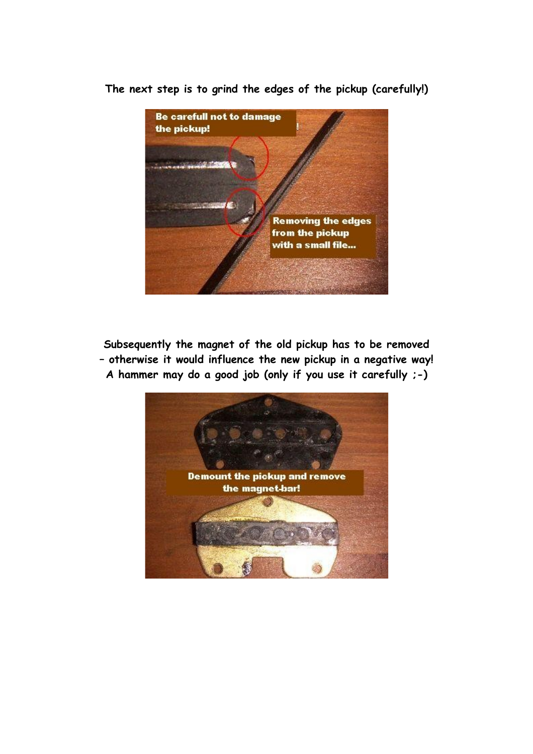

**The next step is to grind the edges of the pickup (carefully!)**

**Subsequently the magnet of the old pickup has to be removed – otherwise it would influence the new pickup in a negative way! A hammer may do a good job (only if you use it carefully ;-)**

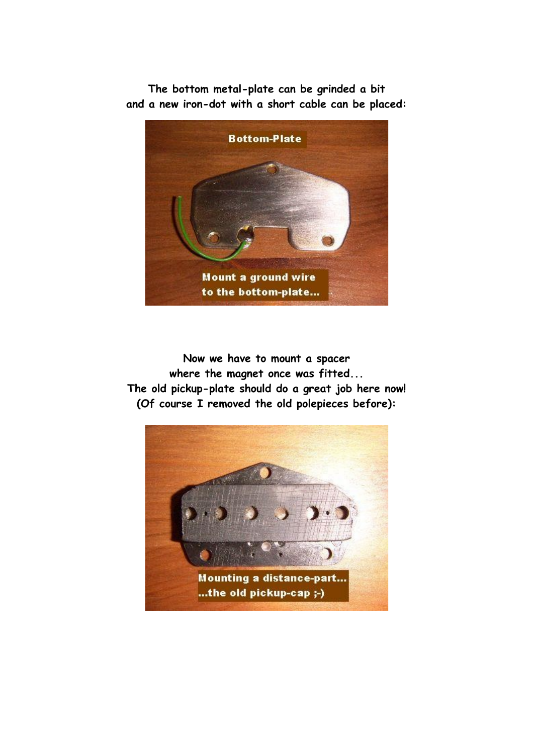**The bottom metal-plate can be grinded a bit and a new iron-dot with a short cable can be placed:**



**Now we have to mount a spacer where the magnet once was fitted... The old pickup-plate should do a great job here now! (Of course I removed the old polepieces before):**

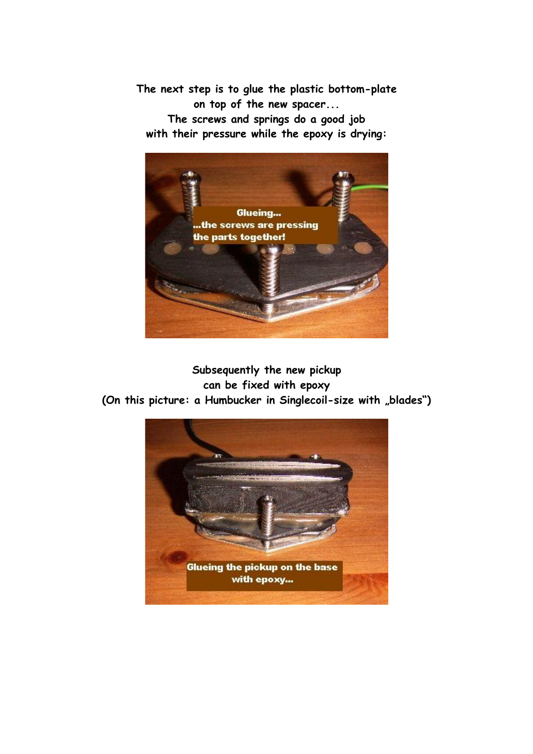**The next step is to glue the plastic bottom-plate on top of the new spacer...**

**The screws and springs do a good job with their pressure while the epoxy is drying:**



**Subsequently the new pickup can be fixed with epoxy** (On this picture: a Humbucker in Singlecoil-size with "blades")

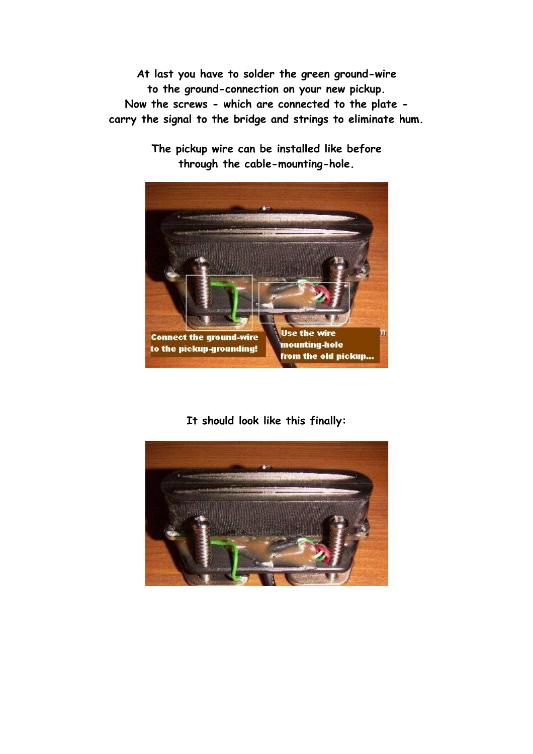**At last you have to solder the green ground-wire to the ground-connection on your new pickup. Now the screws - which are connected to the plate carry the signal to the bridge and strings to eliminate hum.**



**The pickup wire can be installed like before through the cable-mounting-hole.**

**It should look like this finally:**